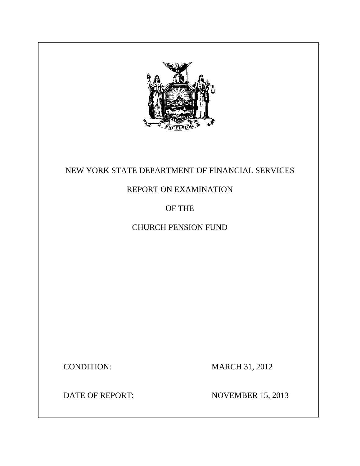

# NEW YORK STATE DEPARTMENT OF FINANCIAL SERVICES

# REPORT ON EXAMINATION

# OF THE

# CHURCH PENSION FUND

**CONDITION:** 

**MARCH 31, 2012** 

**DATE OF REPORT:** 

**NOVEMBER 15, 2013**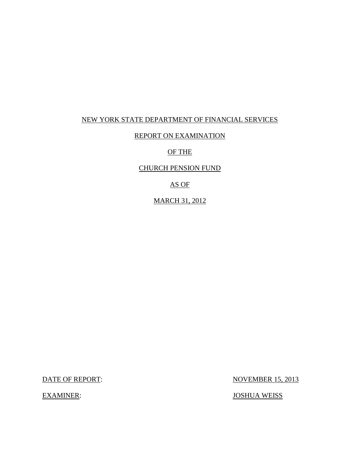# NEW YORK STATE DEPARTMENT OF FINANCIAL SERVICES

# REPORT ON EXAMINATION

### OF THE

# CHURCH PENSION FUND

# AS OF

# MARCH 31, 2012

DATE OF REPORT:

**EXAMINER:** 

**NOVEMBER 15, 2013** 

JOSHUA WEISS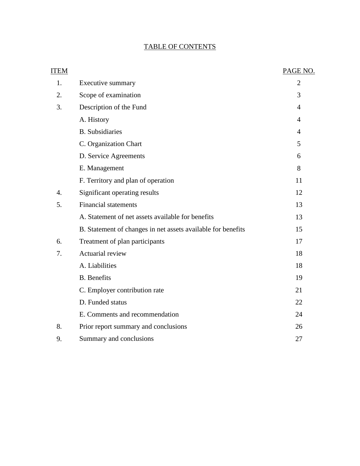# TABLE OF CONTENTS

| <b>ITEM</b>      |                                                              | PAGE NO.       |
|------------------|--------------------------------------------------------------|----------------|
| 1.               | Executive summary                                            | $\overline{2}$ |
| 2.               | Scope of examination                                         | 3              |
| 3.               | Description of the Fund                                      | $\overline{4}$ |
|                  | A. History                                                   | $\overline{4}$ |
|                  | <b>B.</b> Subsidiaries                                       | $\overline{4}$ |
|                  | C. Organization Chart                                        | 5              |
|                  | D. Service Agreements                                        | 6              |
|                  | E. Management                                                | 8              |
|                  | F. Territory and plan of operation                           | 11             |
| $\overline{4}$ . | Significant operating results                                | 12             |
| 5.               | <b>Financial statements</b>                                  | 13             |
|                  | A. Statement of net assets available for benefits            | 13             |
|                  | B. Statement of changes in net assets available for benefits | 15             |
| 6.               | Treatment of plan participants                               | 17             |
| 7.               | Actuarial review                                             | 18             |
|                  | A. Liabilities                                               | 18             |
|                  | <b>B.</b> Benefits                                           | 19             |
|                  | C. Employer contribution rate                                | 21             |
|                  | D. Funded status                                             | 22             |
|                  | E. Comments and recommendation                               | 24             |
| 8.               | Prior report summary and conclusions                         | 26             |
| 9.               | Summary and conclusions                                      | 27             |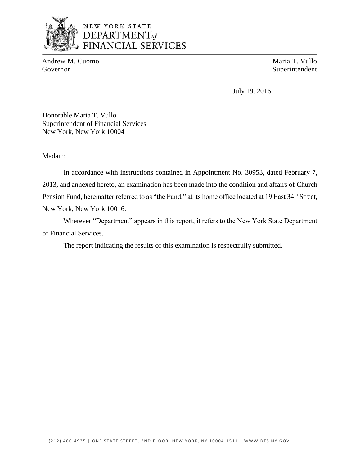

# NEW YORK STATE DEPARTMENT<sub>of</sub> **FINANCIAL SERVICES**

Andrew M. Cuomo Maria T. Vullo Governor Superintendent

July 19, 2016

Honorable Maria T. Vullo Superintendent of Financial Services New York, New York 10004

Madam:

In accordance with instructions contained in Appointment No. 30953, dated February 7, 2013, and annexed hereto, an examination has been made into the condition and affairs of Church Pension Fund, hereinafter referred to as "the Fund," at its home office located at 19 East 34<sup>th</sup> Street, New York, New York 10016.

 Wherever "Department" appears in this report, it refers to the New York State Department of Financial Services.

The report indicating the results of this examination is respectfully submitted.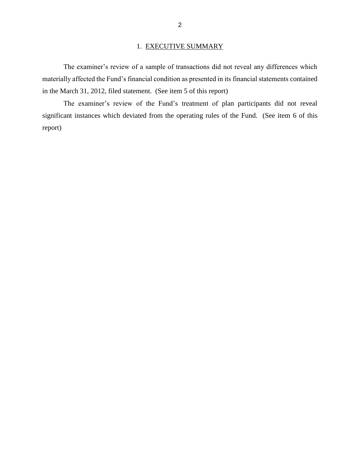# 1. EXECUTIVE SUMMARY

 The examiner's review of a sample of transactions did not reveal any differences which materially affected the Fund's financial condition as presented in its financial statements contained in the March 31, 2012, filed statement. (See item 5 of this report)

 significant instances which deviated from the operating rules of the Fund. (See item 6 of this The examiner's review of the Fund's treatment of plan participants did not reveal report)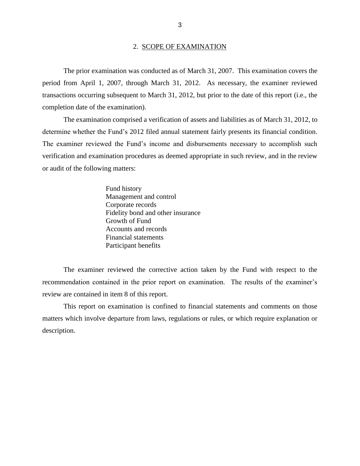#### 2. SCOPE OF EXAMINATION

 The prior examination was conducted as of March 31, 2007. This examination covers the period from April 1, 2007, through March 31, 2012. As necessary, the examiner reviewed transactions occurring subsequent to March 31, 2012, but prior to the date of this report (i.e., the completion date of the examination).

 determine whether the Fund's 2012 filed annual statement fairly presents its financial condition. or audit of the following matters: The examination comprised a verification of assets and liabilities as of March 31, 2012, to The examiner reviewed the Fund's income and disbursements necessary to accomplish such verification and examination procedures as deemed appropriate in such review, and in the review

> Fund history Management and control Corporate records Fidelity bond and other insurance Growth of Fund Accounts and records Financial statements Participant benefits

 recommendation contained in the prior report on examination. The results of the examiner's The examiner reviewed the corrective action taken by the Fund with respect to the review are contained in item 8 of this report.

 matters which involve departure from laws, regulations or rules, or which require explanation or This report on examination is confined to financial statements and comments on those description.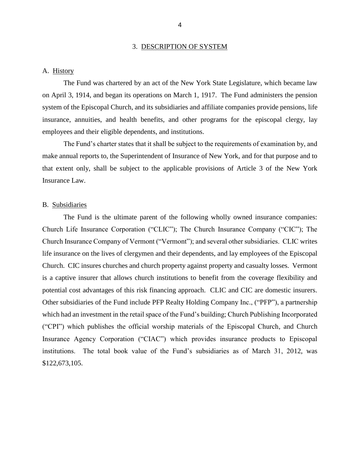#### 3. DESCRIPTION OF SYSTEM

### <span id="page-6-0"></span>A. History

 on April 3, 1914, and began its operations on March 1, 1917. The Fund administers the pension system of the Episcopal Church, and its subsidiaries and affiliate companies provide pensions, life insurance, annuities, and health benefits, and other programs for the episcopal clergy, lay employees and their eligible dependents, and institutions. The Fund was chartered by an act of the New York State Legislature, which became law

 The Fund's charter states that it shall be subject to the requirements of examination by, and make annual reports to, the Superintendent of Insurance of New York, and for that purpose and to that extent only, shall be subject to the applicable provisions of Article 3 of the New York Insurance Law.

### B. Subsidiaries

 The Fund is the ultimate parent of the following wholly owned insurance companies: Church Life Insurance Corporation ("CLIC"); The Church Insurance Company ("CIC"); The Church Insurance Company of Vermont ("Vermont"); and several other subsidiaries. CLIC writes life insurance on the lives of clergymen and their dependents, and lay employees of the Episcopal Church. CIC insures churches and church property against property and casualty losses. Vermont is a captive insurer that allows church institutions to benefit from the coverage flexibility and potential cost advantages of this risk financing approach. CLIC and CIC are domestic insurers. Other subsidiaries of the Fund include PFP Realty Holding Company Inc., ("PFP"), a partnership ("CPI") which publishes the official worship materials of the Episcopal Church, and Church Insurance Agency Corporation ("CIAC") which provides insurance products to Episcopal institutions. The total book value of the Fund's subsidiaries as of March 31, 2012, was which had an investment in the retail space of the Fund's building; Church Publishing Incorporated \$122,673,105.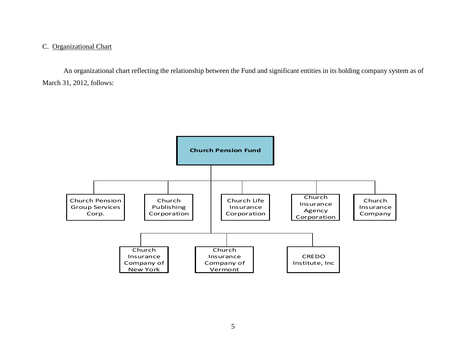### <span id="page-7-0"></span>C. Organizational Chart

 An organizational chart reflecting the relationship between the Fund and significant entities in its holding company system as of March 31, 2012, follows:

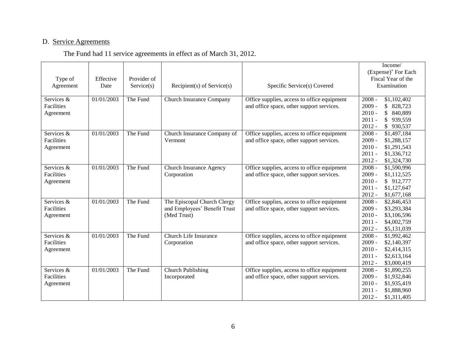### D. Service Agreements

|  | The Fund had 11 service agreements in effect as of March 31, 2012. |  |
|--|--------------------------------------------------------------------|--|
|  |                                                                    |  |

| Type of<br>Agreement                         | Effective<br>Date | Provider of<br>Service(s) | Recipient(s) of Service(s)                                                 | Specific Service(s) Covered                                                              | Income/<br>(Expense) <sup>*</sup> For Each<br>Fiscal Year of the<br>Examination                                                            |
|----------------------------------------------|-------------------|---------------------------|----------------------------------------------------------------------------|------------------------------------------------------------------------------------------|--------------------------------------------------------------------------------------------------------------------------------------------|
| Services &<br>Facilities<br>Agreement        | 01/01/2003        | The Fund                  | Church Insurance Company                                                   | Office supplies, access to office equipment<br>and office space, other support services. | $2008 -$<br>\$1,102,402<br>$2009 -$<br>\$ 828,723<br>$2010 -$<br>$\mathbb{S}$<br>840,889<br>$2011 -$<br>\$939,559<br>$2012 -$<br>\$930,537 |
| Services &<br>Facilities<br>Agreement        | 01/01/2003        | The Fund                  | Church Insurance Company of<br>Vermont                                     | Office supplies, access to office equipment<br>and office space, other support services. | $2008 -$<br>\$1,497,184<br>$2009 -$<br>\$1,288,157<br>$2010 -$<br>\$1,291,543<br>$2011 -$<br>\$1,336,712<br>$2012 -$<br>\$1,324,730        |
| Services &<br>Facilities<br>Agreement        | 01/01/2003        | The Fund                  | Church Insurance Agency<br>Corporation                                     | Office supplies, access to office equipment<br>and office space, other support services. | $2008 -$<br>\$1,590,996<br>$2009 -$<br>\$1,112,525<br>$2010 -$<br>\$912,777<br>$2011 -$<br>\$1,127,647<br>$2012 -$<br>\$1,677,168          |
| Services &<br>Facilities<br>Agreement        | 01/01/2003        | The Fund                  | The Episcopal Church Clergy<br>and Employees' Benefit Trust<br>(Med Trust) | Office supplies, access to office equipment<br>and office space, other support services. | $2008 -$<br>\$2,846,453<br>$2009 -$<br>\$3,293,384<br>$2010 -$<br>\$3,106,596<br>$2011 -$<br>\$4,002,759<br>$2012 -$<br>\$5,131,039        |
| Services &<br><b>Facilities</b><br>Agreement | 01/01/2003        | The Fund                  | Church Life Insurance<br>Corporation                                       | Office supplies, access to office equipment<br>and office space, other support services. | $2008 -$<br>\$1,992,462<br>$2009 -$<br>\$2,140,397<br>$2010 -$<br>\$2,414,315<br>$2011 -$<br>\$2,613,164<br>$2012 -$<br>\$3,000,419        |
| Services &<br>Facilities<br>Agreement        | 01/01/2003        | The Fund                  | Church Publishing<br>Incorporated                                          | Office supplies, access to office equipment<br>and office space, other support services. | $2008 -$<br>\$1,890,255<br>$2009 -$<br>\$1,932,846<br>$2010 -$<br>\$1,935,419<br>$2011 -$<br>\$1,888,960<br>$2012 -$<br>\$1,311,405        |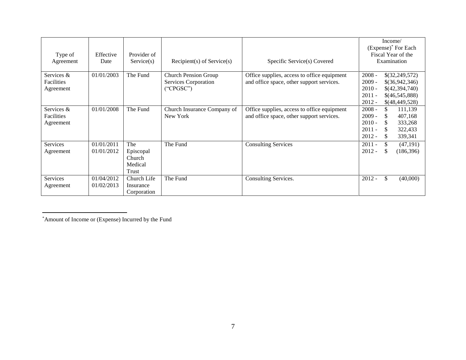|                 |            |             |                                |                                             |          |               | Income/                         |
|-----------------|------------|-------------|--------------------------------|---------------------------------------------|----------|---------------|---------------------------------|
|                 |            |             |                                |                                             |          |               | (Expense) <sup>*</sup> For Each |
| Type of         | Effective  | Provider of |                                |                                             |          |               | Fiscal Year of the              |
| Agreement       | Date       | Service(s)  | $Recipient(s)$ of $Service(s)$ | Specific Service(s) Covered                 |          |               | Examination                     |
|                 |            |             |                                |                                             |          |               |                                 |
| Services &      | 01/01/2003 | The Fund    | <b>Church Pension Group</b>    | Office supplies, access to office equipment | $2008 -$ |               | \$(32,249,572)                  |
| Facilities      |            |             | Services Corporation           | and office space, other support services.   | $2009 -$ |               | \$(36,942,346)                  |
| Agreement       |            |             | ("CPGSC")                      |                                             | $2010 -$ |               | \$(42,394,740)                  |
|                 |            |             |                                |                                             | $2011 -$ |               | \$(46,545,888)                  |
|                 |            |             |                                |                                             | $2012 -$ |               | \$(48,449,528)                  |
| Services &      | 01/01/2008 | The Fund    | Church Insurance Company of    | Office supplies, access to office equipment | $2008 -$ | \$.           | 111,139                         |
| Facilities      |            |             | New York                       | and office space, other support services.   | $2009 -$ | <b>S</b>      | 407,168                         |
| Agreement       |            |             |                                |                                             | $2010 -$ | S.            | 333,268                         |
|                 |            |             |                                |                                             | $2011 -$ | <sup>\$</sup> | 322,433                         |
|                 |            |             |                                |                                             | $2012 -$ | \$.           | 339,341                         |
| <b>Services</b> | 01/01/2011 | The         | The Fund                       | <b>Consulting Services</b>                  | $2011 -$ | \$            | (47, 191)                       |
| Agreement       | 01/01/2012 | Episcopal   |                                |                                             | $2012 -$ | S             | (186,396)                       |
|                 |            | Church      |                                |                                             |          |               |                                 |
|                 |            | Medical     |                                |                                             |          |               |                                 |
|                 |            | Trust       |                                |                                             |          |               |                                 |
| <b>Services</b> | 01/04/2012 | Church Life | The Fund                       | Consulting Services.                        | $2012 -$ | \$            | (40,000)                        |
| Agreement       | 01/02/2013 | Insurance   |                                |                                             |          |               |                                 |
|                 |            | Corporation |                                |                                             |          |               |                                 |

Ì. \* Amount of Income or (Expense) Incurred by the Fund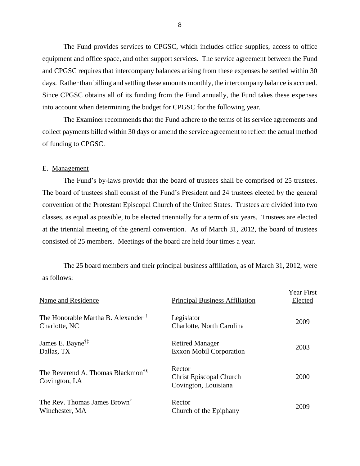equipment and office space, and other support services. The service agreement between the Fund days. Rather than billing and settling these amounts monthly, the intercompany balance is accrued. Since CPGSC obtains all of its funding from the Fund annually, the Fund takes these expenses into account when determining the budget for CPGSC for the following year. The Fund provides services to CPGSC, which includes office supplies, access to office and CPGSC requires that intercompany balances arising from these expenses be settled within 30

 collect payments billed within 30 days or amend the service agreement to reflect the actual method of funding to CPGSC. The Examiner recommends that the Fund adhere to the terms of its service agreements and

#### E. Management

 The Fund's by-laws provide that the board of trustees shall be comprised of 25 trustees. The board of trustees shall consist of the Fund's President and 24 trustees elected by the general convention of the Protestant Episcopal Church of the United States. Trustees are divided into two classes, as equal as possible, to be elected triennially for a term of six years. Trustees are elected consisted of 25 members. Meetings of the board are held four times a year. at the triennial meeting of the general convention. As of March 31, 2012, the board of trustees

The 25 board members and their principal business affiliation, as of March 31, 2012, were as follows:

| Name and Residence                                              | <b>Principal Business Affiliation</b>                     | <b>Year First</b><br>Elected |
|-----------------------------------------------------------------|-----------------------------------------------------------|------------------------------|
| The Honorable Martha B. Alexander <sup>†</sup><br>Charlotte, NC | Legislator<br>Charlotte, North Carolina                   | 2009                         |
| James E. Bayne <sup>†‡</sup><br>Dallas, TX                      | <b>Retired Manager</b><br><b>Exxon Mobil Corporation</b>  | 2003                         |
| The Reverend A. Thomas Blackmon <sup>†§</sup><br>Covington, LA  | Rector<br>Christ Episcopal Church<br>Covington, Louisiana | 2000                         |
| The Rev. Thomas James Brown <sup>†</sup><br>Winchester, MA      | Rector<br>Church of the Epiphany                          | 2009                         |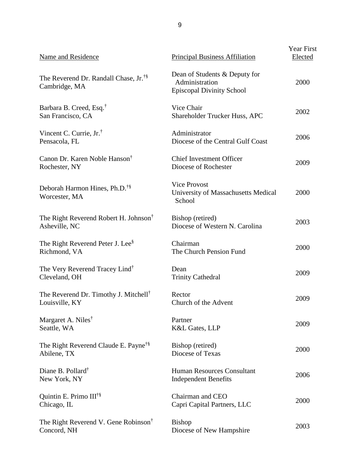| Name and Residence                                                  | Principal Business Affiliation                                                      | Year First<br>Elected |
|---------------------------------------------------------------------|-------------------------------------------------------------------------------------|-----------------------|
| The Reverend Dr. Randall Chase, Jr. <sup>†§</sup><br>Cambridge, MA  | Dean of Students & Deputy for<br>Administration<br><b>Episcopal Divinity School</b> | 2000                  |
| Barbara B. Creed, Esq. <sup>†</sup><br>San Francisco, CA            | Vice Chair<br>Shareholder Trucker Huss, APC                                         | 2002                  |
| Vincent C. Currie, $Jr^{\dagger}$ .<br>Pensacola, FL                | Administrator<br>Diocese of the Central Gulf Coast                                  | 2006                  |
| Canon Dr. Karen Noble Hanson <sup>†</sup><br>Rochester, NY          | <b>Chief Investment Officer</b><br>Diocese of Rochester                             | 2009                  |
| Deborah Harmon Hines, Ph.D. <sup>†§</sup><br>Worcester, MA          | <b>Vice Provost</b><br>University of Massachusetts Medical<br>School                | 2000                  |
| The Right Reverend Robert H. Johnson <sup>†</sup><br>Asheville, NC  | Bishop (retired)<br>Diocese of Western N. Carolina                                  | 2003                  |
| The Right Reverend Peter J. Lee <sup>§</sup><br>Richmond, VA        | Chairman<br>The Church Pension Fund                                                 | 2000                  |
| The Very Reverend Tracey Lind <sup>†</sup><br>Cleveland, OH         | Dean<br><b>Trinity Cathedral</b>                                                    | 2009                  |
| The Reverend Dr. Timothy J. Mitchell <sup>†</sup><br>Louisville, KY | Rector<br>Church of the Advent                                                      | 2009                  |
| Margaret A. Niles <sup>†</sup><br>Seattle, WA                       | Partner<br>K&L Gates, LLP                                                           | 2009                  |
| The Right Reverend Claude E. Payne <sup>†§</sup><br>Abilene, TX     | Bishop (retired)<br>Diocese of Texas                                                | 2000                  |
| Diane B. Pollard <sup>†</sup><br>New York, NY                       | <b>Human Resources Consultant</b><br><b>Independent Benefits</b>                    | 2006                  |
| Quintin E. Primo III <sup>†§</sup><br>Chicago, IL                   | Chairman and CEO<br>Capri Capital Partners, LLC                                     | 2000                  |
| The Right Reverend V. Gene Robinson <sup>†</sup><br>Concord, NH     | <b>Bishop</b><br>Diocese of New Hampshire                                           | 2003                  |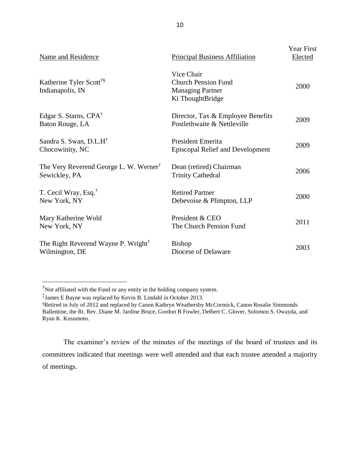| Name and Residence                                                  | Principal Business Affiliation                                                          | Year First<br>Elected |
|---------------------------------------------------------------------|-----------------------------------------------------------------------------------------|-----------------------|
| Katherine Tyler Scott <sup>†§</sup><br>Indianapolis, IN             | Vice Chair<br><b>Church Pension Fund</b><br><b>Managing Partner</b><br>Ki ThoughtBridge | 2000                  |
| Edgar S. Starns, CPA <sup>†</sup><br>Baton Rouge, LA                | Director, Tax & Employee Benefits<br>Postlethwaite & Nettleville                        | 2009                  |
| Sandra S. Swan, D.L.H <sup>†</sup><br>Chocowinity, NC               | President Emerita<br>Episcopal Relief and Development                                   | 2009                  |
| The Very Reverend George L. W. Werner <sup>†</sup><br>Sewickley, PA | Dean (retired) Chairman<br><b>Trinity Cathedral</b>                                     | 2006                  |
| T. Cecil Wray, Esq. <sup>†</sup><br>New York, NY                    | <b>Retired Partner</b><br>Debevoise & Plimpton, LLP                                     | 2000                  |
| Mary Katherine Wold<br>New York, NY                                 | President & CEO<br>The Church Pension Fund                                              | 2011                  |
| The Right Reverend Wayne P. Wright <sup>†</sup><br>Wilmington, DE   | <b>Bishop</b><br>Diocese of Delaware                                                    | 2003                  |

 $\overline{a}$ 

 committees indicated that meetings were well attended and that each trustee attended a majority The examiner's review of the minutes of the meetings of the board of trustees and its of meetings.

<sup>†</sup> Not affiliated with the Fund or any entity in the holding company system.

 ‡ James E Bayne was replaced by Kevin B. Lindahl in October 2013.

 § Retired in July of 2012 and replaced by Canon Kathryn Weathersby McCormick, Canon Rosalie Simmonds Ballentine, the Rt. Rev. Diane M. Jardine Bruce, Gordon B Fowler, Delbert C. Glover, Solomon S. Owayda, and Ryan K. Kusumoto.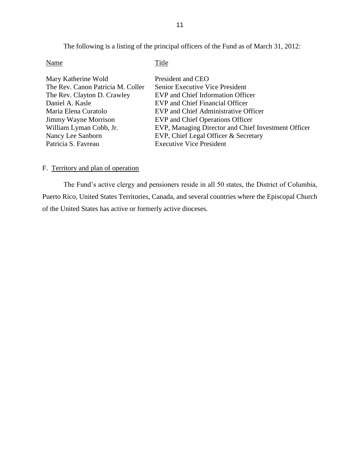The following is a listing of the principal officers of the Fund as of March 31, 2012:

<span id="page-13-0"></span>

| Name                              | Title                                               |
|-----------------------------------|-----------------------------------------------------|
| Mary Katherine Wold               | President and CEO                                   |
| The Rev. Canon Patricia M. Coller | <b>Senior Executive Vice President</b>              |
| The Rev. Clayton D. Crawley       | EVP and Chief Information Officer                   |
| Daniel A. Kasle                   | <b>EVP</b> and Chief Financial Officer              |
| Maria Elena Curatolo              | EVP and Chief Administrative Officer                |
| Jimmy Wayne Morrison              | EVP and Chief Operations Officer                    |
| William Lyman Cobb, Jr.           | EVP, Managing Director and Chief Investment Officer |
| Nancy Lee Sanborn                 | EVP, Chief Legal Officer & Secretary                |
| Patricia S. Favreau               | <b>Executive Vice President</b>                     |

### F. Territory and plan of operation

 The Fund's active clergy and pensioners reside in all 50 states, the District of Columbia, Puerto Rico, United States Territories, Canada, and several countries where the Episcopal Church of the United States has active or formerly active dioceses.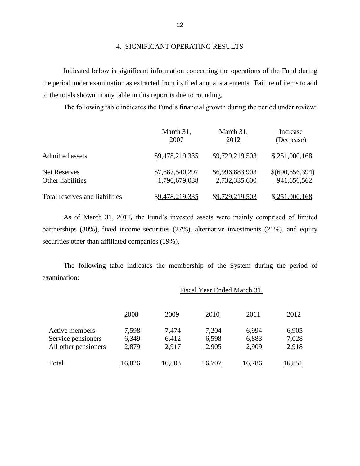Indicated below is significant information concerning the operations of the Fund during the period under examination as extracted from its filed annual statements. Failure of items to add to the totals shown in any table in this report is due to rounding.

The following table indicates the Fund's financial growth during the period under review:

|                                | March 31,       | March 31,       | Increase        |
|--------------------------------|-----------------|-----------------|-----------------|
|                                | 2007            | <u>2012</u>     | (Decrease)      |
| Admitted assets                | \$9,478,219,335 | \$9,729,219,503 | \$251,000,168   |
| <b>Net Reserves</b>            | \$7,687,540,297 | \$6,996,883,903 | \$(690,656,394) |
| Other liabilities              | 1,790,679,038   | 2,732,335,600   | 941,656,562     |
| Total reserves and liabilities | \$9,478,219,335 | \$9,729,219,503 | \$251,000,168   |

 As of March 31, 2012*,* the Fund's invested assets were mainly comprised of limited partnerships (30%), fixed income securities (27%), alternative investments (21%), and equity securities other than affiliated companies (19%).

The following table indicates the membership of the System during the period of examination:

| Fiscal Year Ended March 31, |  |  |
|-----------------------------|--|--|
|                             |  |  |

|                      | 2008  | 2009   | 2010   | 2011   | 2012   |
|----------------------|-------|--------|--------|--------|--------|
| Active members       | 7,598 | 7,474  | 7,204  | 6,994  | 6,905  |
| Service pensioners   | 6,349 | 6,412  | 6,598  | 6,883  | 7,028  |
| All other pensioners | 2,879 | 2,917  | 2,905  | 2,909  | 2,918  |
| Total                | 6,826 | 16,803 | 16.707 | 16,786 | 16,851 |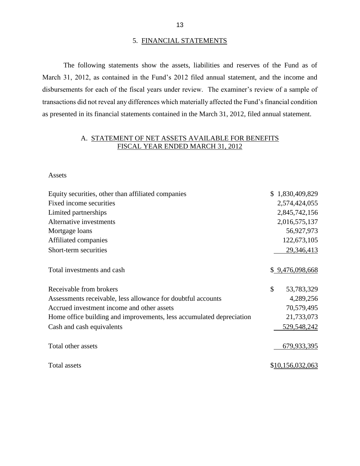#### 5. FINANCIAL STATEMENTS

 March 31, 2012, as contained in the Fund's 2012 filed annual statement, and the income and disbursements for each of the fiscal years under review. The examiner's review of a sample of The following statements show the assets, liabilities and reserves of the Fund as of transactions did not reveal any differences which materially affected the Fund's financial condition as presented in its financial statements contained in the March 31, 2012, filed annual statement.

# A. STATEMENT OF NET ASSETS AVAILABLE FOR BENEFITS FISCAL YEAR ENDED MARCH 31, 2012

Assets

| Equity securities, other than affiliated companies                   | \$1,830,409,829  |
|----------------------------------------------------------------------|------------------|
| Fixed income securities                                              | 2,574,424,055    |
| Limited partnerships                                                 | 2,845,742,156    |
| Alternative investments                                              | 2,016,575,137    |
| Mortgage loans                                                       | 56,927,973       |
| Affiliated companies                                                 | 122,673,105      |
| Short-term securities                                                | 29,346,413       |
| Total investments and cash                                           | \$ 9,476,098,668 |
| Receivable from brokers                                              | \$<br>53,783,329 |
| Assessments receivable, less allowance for doubtful accounts         | 4,289,256        |
| Accrued investment income and other assets                           | 70,579,495       |
| Home office building and improvements, less accumulated depreciation | 21,733,073       |
| Cash and cash equivalents                                            | 529,548,242      |
| Total other assets                                                   | 679,933,395      |
| Total assets                                                         | \$10,156,032,063 |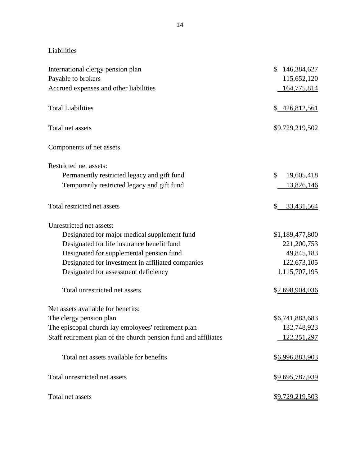Liabilities

| International clergy pension plan<br>Payable to brokers         | 146,384,627<br>\$<br>115,652,120 |
|-----------------------------------------------------------------|----------------------------------|
| Accrued expenses and other liabilities                          | 164,775,814                      |
| <b>Total Liabilities</b>                                        | \$426,812,561                    |
| Total net assets                                                | \$9,729,219,502                  |
| Components of net assets                                        |                                  |
| Restricted net assets:                                          |                                  |
| Permanently restricted legacy and gift fund                     | \$<br>19,605,418                 |
| Temporarily restricted legacy and gift fund                     | 13,826,146                       |
| Total restricted net assets                                     | 33,431,564<br>\$                 |
| Unrestricted net assets:                                        |                                  |
| Designated for major medical supplement fund                    | \$1,189,477,800                  |
| Designated for life insurance benefit fund                      | 221,200,753                      |
| Designated for supplemental pension fund                        | 49,845,183                       |
| Designated for investment in affiliated companies               | 122,673,105                      |
| Designated for assessment deficiency                            | 1,115,707,195                    |
| Total unrestricted net assets                                   | \$2,698,904,036                  |
| Net assets available for benefits:                              |                                  |
| The clergy pension plan                                         | \$6,741,883,683                  |
| The episcopal church lay employees' retirement plan             | 132,748,923                      |
| Staff retirement plan of the church pension fund and affiliates | 122,251,297                      |
| Total net assets available for benefits                         | \$6,996,883,903                  |
| Total unrestricted net assets                                   | \$9,695,787,939                  |
| Total net assets                                                | \$9,729,219,503                  |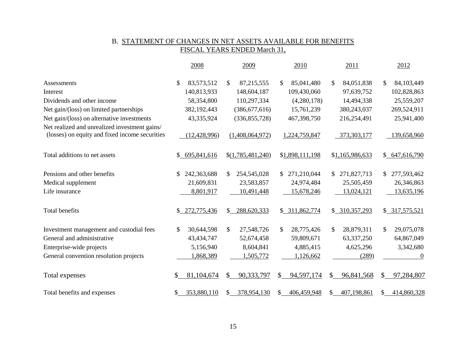### B. STATEMENT OF CHANGES IN NET ASSETS AVAILABLE FOR BENEFITS FISCAL YEARS ENDED March 31,

|                                                                                                 | 2008               | 2009               | 2010               | 2011                       | 2012              |
|-------------------------------------------------------------------------------------------------|--------------------|--------------------|--------------------|----------------------------|-------------------|
| Assessments                                                                                     | \$<br>83,573,512   | 87,215,555<br>\$.  | 85,041,480<br>\$.  | \$<br>84,051,838           | \$<br>84,103,449  |
| Interest                                                                                        | 140,813,933        | 148,604,187        | 109,430,060        | 97,639,752                 | 102,828,863       |
| Dividends and other income                                                                      | 58,354,800         | 110,297,334        | (4,280,178)        | 14,494,338                 | 25,559,207        |
| Net gain/(loss) on limited partnerships                                                         | 382,192,443        | (386, 677, 616)    | 15,761,239         | 380,243,037                | 269,524,911       |
| Net gain/(loss) on alternative investments                                                      |                    | (336, 855, 728)    | 467,398,750        | 216,254,491                | 25,941,400        |
|                                                                                                 | 43,335,924         |                    |                    |                            |                   |
| Net realized and unrealized investment gains/<br>(losses) on equity and fixed income securities | (12, 428, 996)     | (1,408,064,972)    | 1,224,759,847      | 373,303,177                | 139,658,960       |
| Total additions to net assets                                                                   | 695,841,616<br>\$. | \$(1,785,481,240)  | \$1,898,111,198    | \$1,165,986,633            | \$647,616,790     |
| Pensions and other benefits                                                                     | 242,363,688<br>\$. | 254,545,028<br>\$  | 271,210,044<br>\$. | 271,827,713<br>S.          | 277,593,462<br>\$ |
| Medical supplement                                                                              | 21,609,831         | 23,583,857         | 24,974,484         | 25,505,459                 | 26,346,863        |
| Life insurance                                                                                  | 8,801,917          | 10,491,448         | 15,678,246         | 13,024,121                 | 13,635,196        |
| Total benefits                                                                                  | 272,775,436<br>\$  | 288,620,333<br>\$. | \$311,862,774      | \$ 310,357,293             | \$317,575,521     |
| Investment management and custodial fees                                                        | \$<br>30,644,598   | \$<br>27,548,726   | \$<br>28,775,426   | $\mathbb{S}$<br>28,879,311 | \$<br>29,075,078  |
| General and administrative                                                                      | 43, 434, 747       | 52,674,458         | 59,809,671         | 63,337,250                 | 64,867,049        |
| Enterprise-wide projects                                                                        | 5,156,940          | 8,604,841          | 4,885,415          | 4,625,296                  | 3,342,680         |
| General convention resolution projects                                                          | 1,868,389          | 1,505,772          | 1,126,662          | (289)                      | $\overline{0}$    |
| Total expenses                                                                                  | 81,104,674         | 90,333,797<br>\$.  | 94,597,174<br>\$.  | \$<br>96,841,568           | 97,284,807<br>S   |
| Total benefits and expenses                                                                     | 353,880,110        | 378,954,130<br>S.  | 406,459,948<br>\$  | 407,198,861<br>\$          | 414,860,328<br>S. |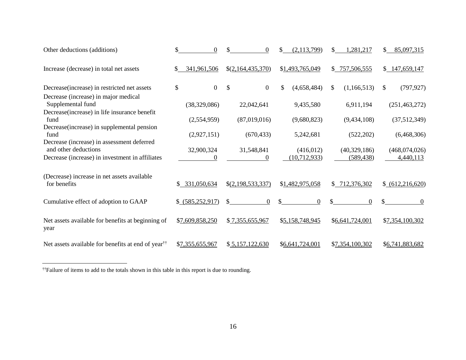| Other deductions (additions)                                                                              | $\Omega$               | $\Omega$                         | (2, 113, 799)        | \$<br>1,281,217   | \$.<br>85,097,315 |
|-----------------------------------------------------------------------------------------------------------|------------------------|----------------------------------|----------------------|-------------------|-------------------|
| Increase (decrease) in total net assets                                                                   | 341,961,506<br>S.      | \$(2,164,435,370)                | \$1,493,765,049      | \$757,506,555     | \$147,659,147     |
| Decrease (increase) in restricted net assets                                                              | $\boldsymbol{0}$<br>\$ | $\mathbb{S}$<br>$\boldsymbol{0}$ | \$<br>(4,658,484)    | \$<br>(1,166,513) | \$<br>(797, 927)  |
| Decrease (increase) in major medical<br>Supplemental fund<br>Decrease(increase) in life insurance benefit | (38,329,086)           | 22,042,641                       | 9,435,580            | 6,911,194         | (251, 463, 272)   |
| fund<br>Decrease (increase) in supplemental pension                                                       | (2,554,959)            | (87,019,016)                     | (9,680,823)          | (9,434,108)       | (37,512,349)      |
| fund<br>Decrease (increase) in assessment deferred                                                        | (2,927,151)            | (670, 433)                       | 5,242,681            | (522, 202)        | (6,468,306)       |
| and other deductions                                                                                      | 32,900,324             | 31,548,841                       | (416,012)            | (40,329,186)      | (468,074,026)     |
| Decrease (increase) in investment in affiliates                                                           | $\Omega$               | $\Omega$                         | (10,712,933)         | (589, 438)        | 4,440,113         |
| (Decrease) increase in net assets available<br>for benefits                                               | \$ 331,050,634         | \$(2,198,533,337)                | \$1,482,975,058      | \$712,376,302     | (612, 216, 620)   |
| Cumulative effect of adoption to GAAP                                                                     | \$ (585,252,917)       | \$<br>$\overline{0}$             | \$<br>$\overline{0}$ | $\Omega$          | $\Omega$          |
| Net assets available for benefits at beginning of<br>year                                                 | \$7,609,858,250        | \$7,355,655,967                  | \$5,158,748,945      | \$6,641,724,001   | \$7,354,100,302   |
| Net assets available for benefits at end of year <sup>††</sup>                                            | \$7,355,655,967        | \$5,157,122,630                  | \$6,641,724,001      | \$7,354,100,302   | \$6,741,883,682   |

 $\overline{a}$ 

<sup>††</sup>Failure of items to add to the totals shown in this table in this report is due to rounding.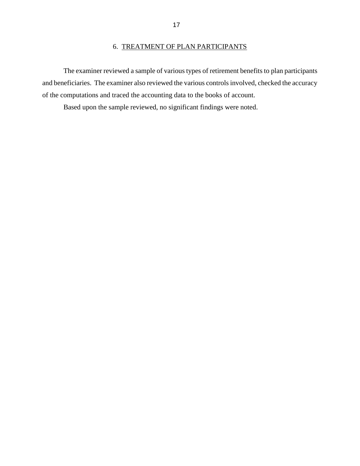# 6. TREATMENT OF PLAN PARTICIPANTS

<span id="page-19-0"></span> and beneficiaries. The examiner also reviewed the various controls involved, checked the accuracy The examiner reviewed a sample of various types of retirement benefits to plan participants of the computations and traced the accounting data to the books of account.

Based upon the sample reviewed, no significant findings were noted.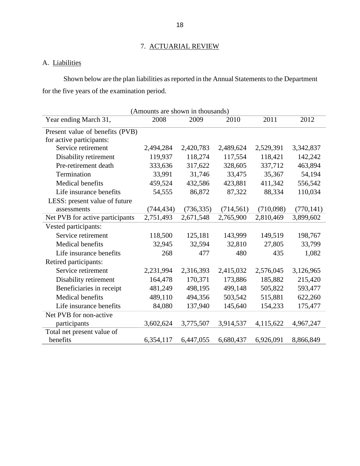# 7. ACTUARIAL REVIEW

# A. Liabilities

 Shown below are the plan liabilities as reported in the Annual Statements to the Department for the five years of the examination period.

| (Amounts are shown in thousands) |            |            |            |           |            |  |  |
|----------------------------------|------------|------------|------------|-----------|------------|--|--|
| Year ending March 31,            | 2008       | 2009       | 2010       | 2011      | 2012       |  |  |
| Present value of benefits (PVB)  |            |            |            |           |            |  |  |
| for active participants:         |            |            |            |           |            |  |  |
| Service retirement               | 2,494,284  | 2,420,783  | 2,489,624  | 2,529,391 | 3,342,837  |  |  |
| Disability retirement            | 119,937    | 118,274    | 117,554    | 118,421   | 142,242    |  |  |
| Pre-retirement death             | 333,636    | 317,622    | 328,605    | 337,712   | 463,894    |  |  |
| Termination                      | 33,991     | 31,746     | 33,475     | 35,367    | 54,194     |  |  |
| Medical benefits                 | 459,524    | 432,586    | 423,881    | 411,342   | 556,542    |  |  |
| Life insurance benefits          | 54,555     | 86,872     | 87,322     | 88,334    | 110,034    |  |  |
| LESS: present value of future    |            |            |            |           |            |  |  |
| assessments                      | (744, 434) | (736, 335) | (714, 561) | (710,098) | (770, 141) |  |  |
| Net PVB for active participants  | 2,751,493  | 2,671,548  | 2,765,900  | 2,810,469 | 3,899,602  |  |  |
| Vested participants:             |            |            |            |           |            |  |  |
| Service retirement               | 118,500    | 125,181    | 143,999    | 149,519   | 198,767    |  |  |
| Medical benefits                 | 32,945     | 32,594     | 32,810     | 27,805    | 33,799     |  |  |
| Life insurance benefits          | 268        | 477        | 480        | 435       | 1,082      |  |  |
| Retired participants:            |            |            |            |           |            |  |  |
| Service retirement               | 2,231,994  | 2,316,393  | 2,415,032  | 2,576,045 | 3,126,965  |  |  |
| Disability retirement            | 164,478    | 170,371    | 173,886    | 185,882   | 215,420    |  |  |
| Beneficiaries in receipt         | 481,249    | 498,195    | 499,148    | 505,822   | 593,477    |  |  |
| Medical benefits                 | 489,110    | 494,356    | 503,542    | 515,881   | 622,260    |  |  |
| Life insurance benefits          | 84,080     | 137,940    | 145,640    | 154,233   | 175,477    |  |  |
| Net PVB for non-active           |            |            |            |           |            |  |  |
| participants                     | 3,602,624  | 3,775,507  | 3,914,537  | 4,115,622 | 4,967,247  |  |  |
| Total net present value of       |            |            |            |           |            |  |  |
| benefits                         | 6,354,117  | 6,447,055  | 6,680,437  | 6,926,091 | 8,866,849  |  |  |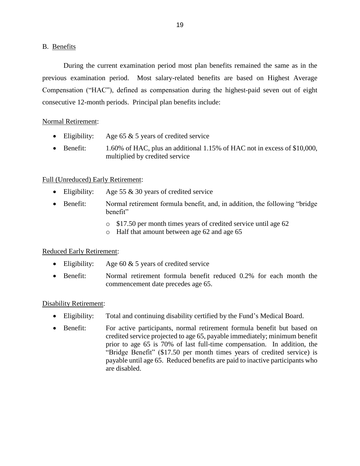### <span id="page-21-0"></span>B. Benefits

 During the current examination period most plan benefits remained the same as in the previous examination period. Most salary-related benefits are based on Highest Average consecutive 12-month periods. Principal plan benefits include: Compensation ("HAC"), defined as compensation during the highest-paid seven out of eight

# Normal Retirement:

- Eligibility: Age 65  $&$  5 years of credited service
- Benefit: 1.60% of HAC, plus an additional 1.15% of HAC not in excess of \$10,000, multiplied by credited service

# Full (Unreduced) Early Retirement:

- Eligibility: Age 55 & 30 years of credited service
- Benefit: Normal retirement formula benefit, and, in addition, the following "bridge" benefit"
	- o \$17.50 per month times years of credited service until age 62
	- o Half that amount between age 62 and age 65

# Reduced Early Retirement:

- Eligibility: Age 60  $& 5$  years of credited service
- Benefit: Normal retirement formula benefit reduced 0.2% for each month the commencement date precedes age 65.

# Disability Retirement:

- Eligibility: Total and continuing disability certified by the Fund's Medical Board.
- credited service projected to age 65, payable immediately; minimum benefit prior to age 65 is 70% of last full-time compensation. In addition, the "Bridge Benefit" (\$17.50 per month times years of credited service) is payable until age 65. Reduced benefits are paid to inactive participants who • Benefit: For active participants, normal retirement formula benefit but based on are disabled.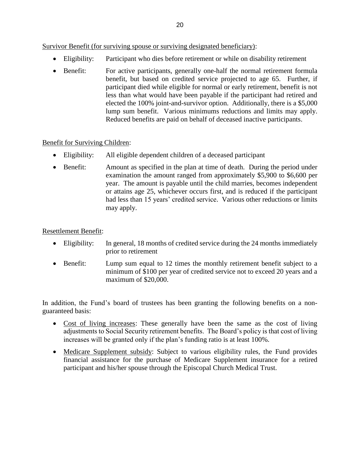Survivor Benefit (for surviving spouse or surviving designated beneficiary):

- Eligibility: Participant who dies before retirement or while on disability retirement
- benefit, but based on credited service projected to age 65. Further, if participant died while eligible for normal or early retirement, benefit is not elected the 100% joint-and-survivor option. Additionally, there is a \$5,000 lump sum benefit. Various minimums reductions and limits may apply. Benefit: For active participants, generally one-half the normal retirement formula less than what would have been payable if the participant had retired and Reduced benefits are paid on behalf of deceased inactive participants.

# Benefit for Surviving Children:

- Eligibility: All eligible dependent children of a deceased participant
- Benefit: Amount as specified in the plan at time of death. During the period under year. The amount is payable until the child marries, becomes independent or attains age 25, whichever occurs first, and is reduced if the participant may apply. examination the amount ranged from approximately \$5,900 to \$6,600 per had less than 15 years' credited service. Various other reductions or limits

# Resettlement Benefit:

- Eligibility: In general, 18 months of credited service during the 24 months immediately prior to retirement
- minimum of \$100 per year of credited service not to exceed 20 years and a • Benefit: Lump sum equal to 12 times the monthly retirement benefit subject to a maximum of \$20,000.

 In addition, the Fund's board of trustees has been granting the following benefits on a nonguaranteed basis:

- Cost of living increases: These generally have been the same as the cost of living adjustments to Social Security retirement benefits. The Board's policy is that cost of living increases will be granted only if the plan's funding ratio is at least 100%.
- Medicare Supplement subsidy: Subject to various eligibility rules, the Fund provides financial assistance for the purchase of Medicare Supplement insurance for a retired participant and his/her spouse through the Episcopal Church Medical Trust.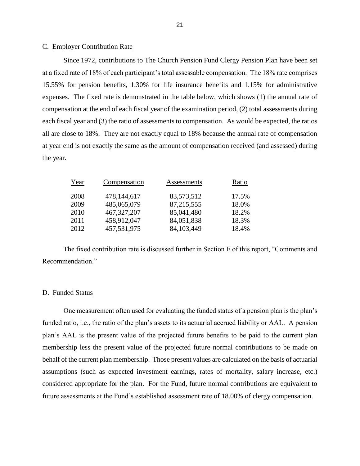### <span id="page-23-0"></span>C. Employer Contribution Rate

 Since 1972, contributions to The Church Pension Fund Clergy Pension Plan have been set at a fixed rate of 18% of each participant's total assessable compensation. The 18% rate comprises 15.55% for pension benefits, 1.30% for life insurance benefits and 1.15% for administrative expenses. The fixed rate is demonstrated in the table below, which shows (1) the annual rate of each fiscal year and (3) the ratio of assessments to compensation. As would be expected, the ratios all are close to 18%. They are not exactly equal to 18% because the annual rate of compensation compensation at the end of each fiscal year of the examination period, (2) total assessments during at year end is not exactly the same as the amount of compensation received (and assessed) during the year.

| Year | Compensation  | Assessments | Ratio |
|------|---------------|-------------|-------|
| 2008 | 478,144,617   | 83,573,512  | 17.5% |
| 2009 | 485,065,079   | 87,215,555  | 18.0% |
| 2010 | 467, 327, 207 | 85,041,480  | 18.2% |
| 2011 | 458,912,047   | 84,051,838  | 18.3% |
| 2012 | 457,531,975   | 84,103,449  | 18.4% |

The fixed contribution rate is discussed further in Section E of this report, "Comments and Recommendation."

#### D. Funded Status

 One measurement often used for evaluating the funded status of a pension plan is the plan's plan's AAL is the present value of the projected future benefits to be paid to the current plan membership less the present value of the projected future normal contributions to be made on behalf of the current plan membership. Those present values are calculated on the basis of actuarial assumptions (such as expected investment earnings, rates of mortality, salary increase, etc.) funded ratio, i.e., the ratio of the plan's assets to its actuarial accrued liability or AAL. A pension considered appropriate for the plan. For the Fund, future normal contributions are equivalent to future assessments at the Fund's established assessment rate of 18.00% of clergy compensation.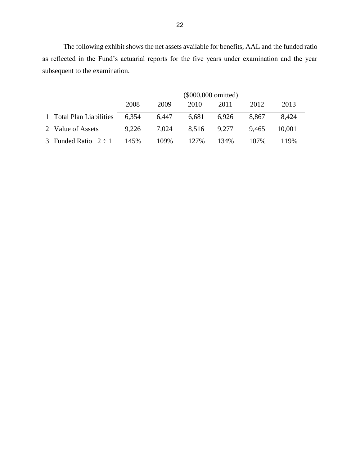The following exhibit shows the net assets available for benefits, AAL and the funded ratio as reflected in the Fund's actuarial reports for the five years under examination and the year subsequent to the examination.

|                           | (\$000,000 omitted) |       |       |       |       |        |
|---------------------------|---------------------|-------|-------|-------|-------|--------|
|                           | 2008                | 2009  | 2010  | 2011  | 2012  | 2013   |
| 1 Total Plan Liabilities  | 6.354               | 6,447 | 6.681 | 6.926 | 8.867 | 8.424  |
| 2 Value of Assets         | 9.226               | 7.024 | 8.516 | 9.277 | 9.465 | 10.001 |
| 3 Funded Ratio $2 \div 1$ | 145%                | 109%  | 127%  | 134%  | 107%  | 119%   |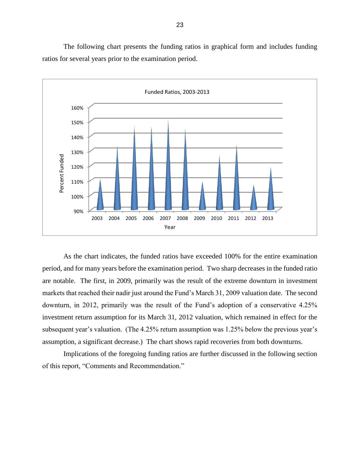The following chart presents the funding ratios in graphical form and includes funding ratios for several years prior to the examination period.



 As the chart indicates, the funded ratios have exceeded 100% for the entire examination period, and for many years before the examination period. Two sharp decreases in the funded ratio are notable. The first, in 2009, primarily was the result of the extreme downturn in investment markets that reached their nadir just around the Fund's March 31, 2009 valuation date. The second downturn, in 2012, primarily was the result of the Fund's adoption of a conservative 4.25% subsequent year's valuation. (The 4.25% return assumption was 1.25% below the previous year's investment return assumption for its March 31, 2012 valuation, which remained in effect for the assumption, a significant decrease.) The chart shows rapid recoveries from both downturns.

 Implications of the foregoing funding ratios are further discussed in the following section of this report, "Comments and Recommendation."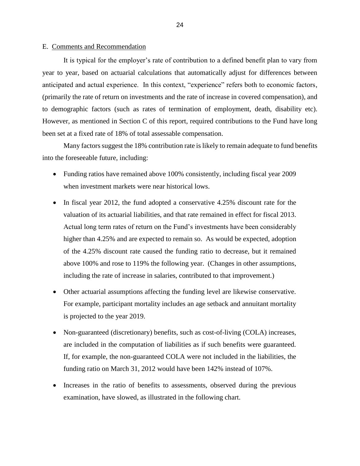#### <span id="page-26-0"></span>E. Comments and Recommendation

 year to year, based on actuarial calculations that automatically adjust for differences between anticipated and actual experience. In this context, "experience" refers both to economic factors, (primarily the rate of return on investments and the rate of increase in covered compensation), and However, as mentioned in Section C of this report, required contributions to the Fund have long It is typical for the employer's rate of contribution to a defined benefit plan to vary from to demographic factors (such as rates of termination of employment, death, disability etc). been set at a fixed rate of 18% of total assessable compensation.

Many factors suggest the 18% contribution rate is likely to remain adequate to fund benefits into the foreseeable future, including:

- Funding ratios have remained above 100% consistently, including fiscal year 2009 when investment markets were near historical lows.
- In fiscal year 2012, the fund adopted a conservative 4.25% discount rate for the of the 4.25% discount rate caused the funding ratio to decrease, but it remained above 100% and rose to 119% the following year. (Changes in other assumptions, valuation of its actuarial liabilities, and that rate remained in effect for fiscal 2013. Actual long term rates of return on the Fund's investments have been considerably higher than 4.25% and are expected to remain so. As would be expected, adoption including the rate of increase in salaries, contributed to that improvement.)
- Other actuarial assumptions affecting the funding level are likewise conservative. For example, participant mortality includes an age setback and annuitant mortality is projected to the year 2019.
- Non-guaranteed (discretionary) benefits, such as cost-of-living (COLA) increases, are included in the computation of liabilities as if such benefits were guaranteed. If, for example, the non-guaranteed COLA were not included in the liabilities, the funding ratio on March 31, 2012 would have been 142% instead of 107%.
- Increases in the ratio of benefits to assessments, observed during the previous examination, have slowed, as illustrated in the following chart.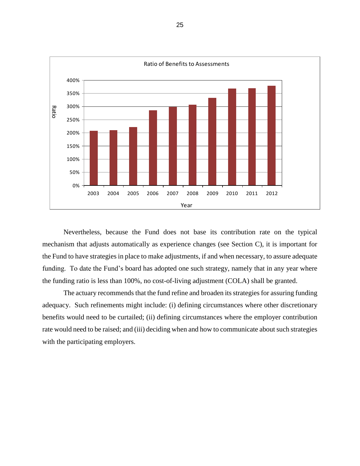

 Nevertheless, because the Fund does not base its contribution rate on the typical mechanism that adjusts automatically as experience changes (see Section C), it is important for the Fund to have strategies in place to make adjustments, if and when necessary, to assure adequate funding. To date the Fund's board has adopted one such strategy, namely that in any year where the funding ratio is less than 100%, no cost-of-living adjustment (COLA) shall be granted.

 The actuary recommends that the fund refine and broaden its strategies for assuring funding adequacy. Such refinements might include: (i) defining circumstances where other discretionary benefits would need to be curtailed; (ii) defining circumstances where the employer contribution with the participating employers. rate would need to be raised; and (iii) deciding when and how to communicate about such strategies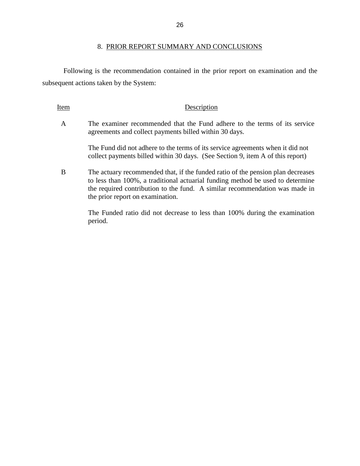#### 8. PRIOR REPORT SUMMARY AND CONCLUSIONS

 Following is the recommendation contained in the prior report on examination and the subsequent actions taken by the System:

Item Description

A The examiner recommended that the Fund adhere to the terms of its service agreements and collect payments billed within 30 days.

> The Fund did not adhere to the terms of its service agreements when it did not collect payments billed within 30 days. (See Section 9, item A of this report)

 to less than 100%, a traditional actuarial funding method be used to determine the required contribution to the fund. A similar recommendation was made in B The actuary recommended that, if the funded ratio of the pension plan decreases the prior report on examination.

> The Funded ratio did not decrease to less than 100% during the examination period.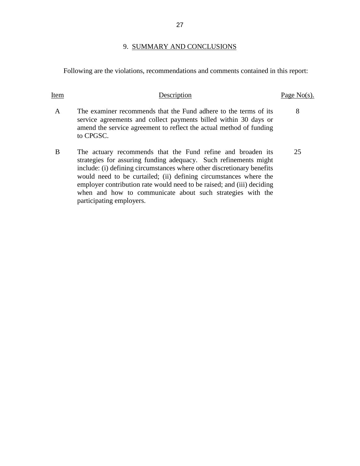### 9. SUMMARY AND CONCLUSIONS

<span id="page-29-0"></span>Following are the violations, recommendations and comments contained in this report:

# Item Description Page No(s).

- A The examiner recommends that the Fund adhere to the terms of its 8 service agreements and collect payments billed within 30 days or amend the service agreement to reflect the actual method of funding to CPGSC.
- B The actuary recommends that the Fund refine and broaden its 25 strategies for assuring funding adequacy. Such refinements might would need to be curtailed; (ii) defining circumstances where the include: (i) defining circumstances where other discretionary benefits employer contribution rate would need to be raised; and (iii) deciding when and how to communicate about such strategies with the participating employers.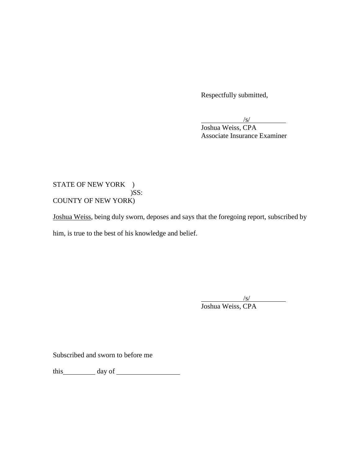Respectfully submitted,

 $\frac{|s|}{s}$ 

Joshua Weiss, CPA Associate Insurance Examiner

# STATE OF NEW YORK ) )SS: COUNTY OF NEW YORK)

Joshua Weiss, being duly sworn, deposes and says that the foregoing report, subscribed by him, is true to the best of his knowledge and belief.

> $\frac{|s|}{s}$ Joshua Weiss, CPA

Subscribed and sworn to before me

this day of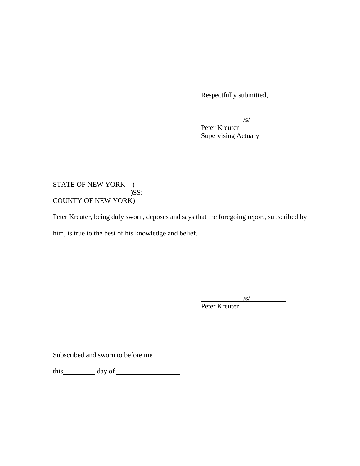Respectfully submitted,

 $\frac{|s|}{s}$ 

Peter Kreuter Supervising Actuary

# STATE OF NEW YORK ) )SS: COUNTY OF NEW YORK)

Peter Kreuter, being duly sworn, deposes and says that the foregoing report, subscribed by him, is true to the best of his knowledge and belief.

 $\frac{|s|}{s}$ 

Peter Kreuter

Subscribed and sworn to before me

this day of